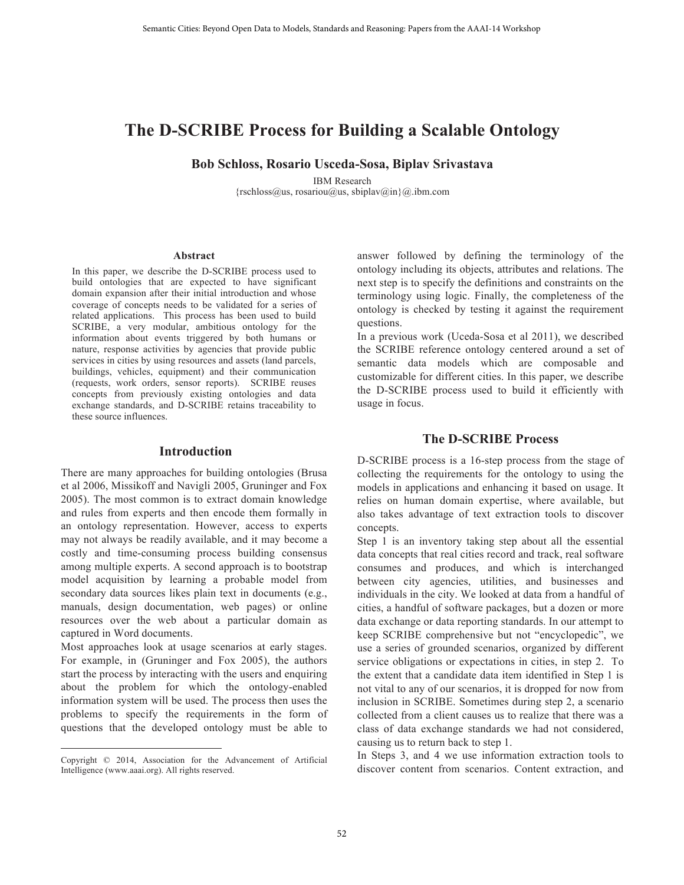# **The D-SCRIBE Process for Building a Scalable Ontology**

**Bob Schloss, Rosario Usceda-Sosa, Biplav Srivastava**

IBM Research {rschloss@us, rosariou@us, sbiplav@in}@.ibm.com

#### **Abstract**

In this paper, we describe the D-SCRIBE process used to build ontologies that are expected to have significant domain expansion after their initial introduction and whose coverage of concepts needs to be validated for a series of related applications. This process has been used to build SCRIBE, a very modular, ambitious ontology for the information about events triggered by both humans or nature, response activities by agencies that provide public services in cities by using resources and assets (land parcels, buildings, vehicles, equipment) and their communication (requests, work orders, sensor reports). SCRIBE reuses concepts from previously existing ontologies and data exchange standards, and D-SCRIBE retains traceability to these source influences.

#### **Introduction**

There are many approaches for building ontologies (Brusa et al 2006, Missikoff and Navigli 2005, Gruninger and Fox 2005). The most common is to extract domain knowledge and rules from experts and then encode them formally in an ontology representation. However, access to experts may not always be readily available, and it may become a costly and time-consuming process building consensus among multiple experts. A second approach is to bootstrap model acquisition by learning a probable model from secondary data sources likes plain text in documents (e.g., manuals, design documentation, web pages) or online resources over the web about a particular domain as captured in Word documents.

Most approaches look at usage scenarios at early stages. For example, in (Gruninger and Fox 2005), the authors start the process by interacting with the users and enquiring about the problem for which the ontology-enabled information system will be used. The process then uses the problems to specify the requirements in the form of questions that the developed ontology must be able to

 $\overline{a}$ 

answer followed by defining the terminology of the ontology including its objects, attributes and relations. The next step is to specify the definitions and constraints on the terminology using logic. Finally, the completeness of the ontology is checked by testing it against the requirement questions.

In a previous work (Uceda-Sosa et al 2011), we described the SCRIBE reference ontology centered around a set of semantic data models which are composable and customizable for different cities. In this paper, we describe the D-SCRIBE process used to build it efficiently with usage in focus.

#### **The D-SCRIBE Process**

D-SCRIBE process is a 16-step process from the stage of collecting the requirements for the ontology to using the models in applications and enhancing it based on usage. It relies on human domain expertise, where available, but also takes advantage of text extraction tools to discover concepts.

Step 1 is an inventory taking step about all the essential data concepts that real cities record and track, real software consumes and produces, and which is interchanged between city agencies, utilities, and businesses and individuals in the city. We looked at data from a handful of cities, a handful of software packages, but a dozen or more data exchange or data reporting standards. In our attempt to keep SCRIBE comprehensive but not "encyclopedic", we use a series of grounded scenarios, organized by different service obligations or expectations in cities, in step 2. To the extent that a candidate data item identified in Step 1 is not vital to any of our scenarios, it is dropped for now from inclusion in SCRIBE. Sometimes during step 2, a scenario collected from a client causes us to realize that there was a class of data exchange standards we had not considered, causing us to return back to step 1.

In Steps 3, and 4 we use information extraction tools to discover content from scenarios. Content extraction, and

Copyright © 2014, Association for the Advancement of Artificial Intelligence (www.aaai.org). All rights reserved.